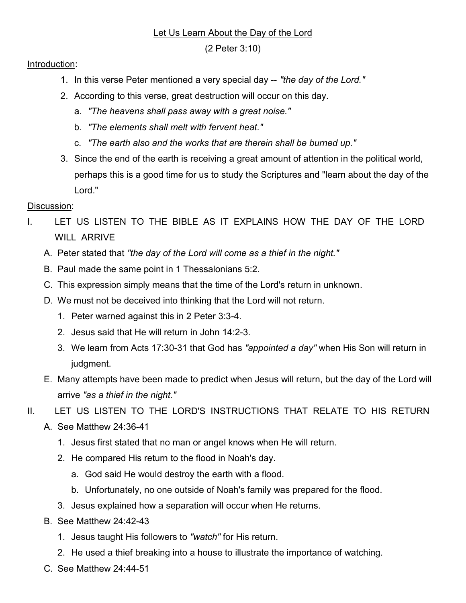## Let Us Learn About the Day of the Lord

(2 Peter 3:10)

## Introduction:

- 1. In this verse Peter mentioned a very special day -- "the day of the Lord."
- 2. According to this verse, great destruction will occur on this day.
	- a. "The heavens shall pass away with a great noise."
	- b. "The elements shall melt with fervent heat."
	- c. "The earth also and the works that are therein shall be burned up."
- 3. Since the end of the earth is receiving a great amount of attention in the political world, perhaps this is a good time for us to study the Scriptures and "learn about the day of the Lord."

## Discussion:

- I. LET US LISTEN TO THE BIBLE AS IT EXPLAINS HOW THE DAY OF THE LORD WILL ARRIVE
	- A. Peter stated that "the day of the Lord will come as a thief in the night."
	- B. Paul made the same point in 1 Thessalonians 5:2.
	- C. This expression simply means that the time of the Lord's return in unknown.
	- D. We must not be deceived into thinking that the Lord will not return.
		- 1. Peter warned against this in 2 Peter 3:3-4.
		- 2. Jesus said that He will return in John 14:2-3.
		- 3. We learn from Acts 17:30-31 that God has "appointed a day" when His Son will return in judgment.
	- E. Many attempts have been made to predict when Jesus will return, but the day of the Lord will arrive "as a thief in the night."
- II. LET US LISTEN TO THE LORD'S INSTRUCTIONS THAT RELATE TO HIS RETURN
	- A. See Matthew 24:36-41
		- 1. Jesus first stated that no man or angel knows when He will return.
		- 2. He compared His return to the flood in Noah's day.
			- a. God said He would destroy the earth with a flood.
			- b. Unfortunately, no one outside of Noah's family was prepared for the flood.
		- 3. Jesus explained how a separation will occur when He returns.
	- B. See Matthew 24:42-43
		- 1. Jesus taught His followers to "watch" for His return.
		- 2. He used a thief breaking into a house to illustrate the importance of watching.
	- C. See Matthew 24:44-51